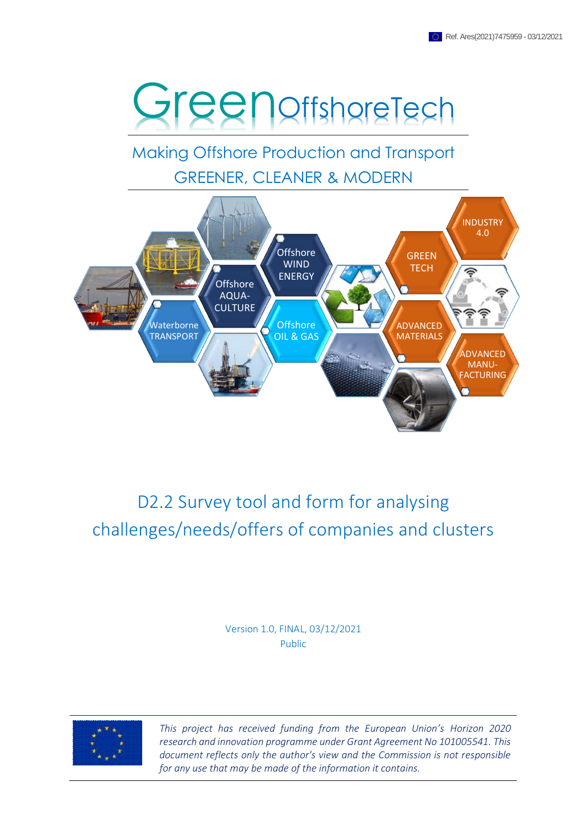

Making Offshore Production and Transport GREENER, CLEANER & MODERN



# D2.2 Survey tool and form for analysing challenges/needs/offers of companies and clusters

Version 1.0, FINAL, 03/12/2021 Public



*This project has received funding from the European Union's Horizon 2020 research and innovation programme under Grant Agreement No 101005541. This document reflects only the author's view and the Commission is not responsible for any use that may be made of the information it contains.*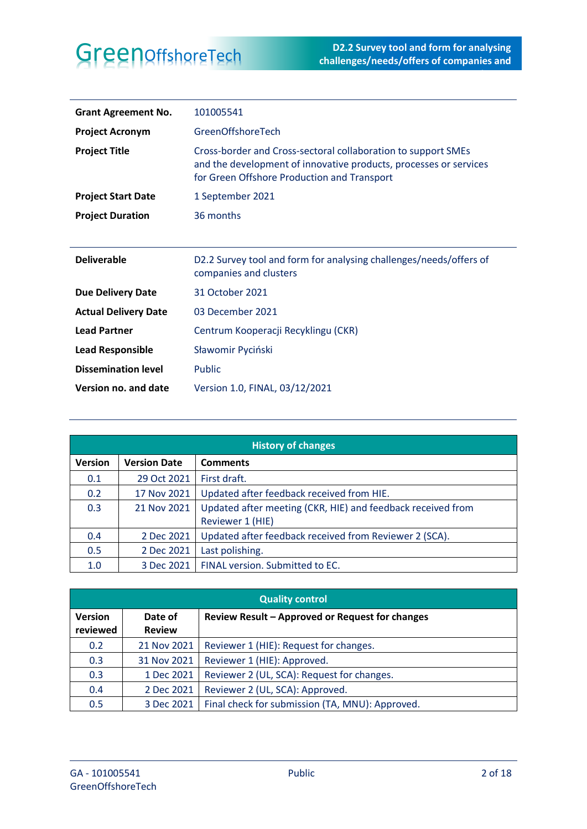| <b>Grant Agreement No.</b>  | 101005541                                                                                                                                                                         |
|-----------------------------|-----------------------------------------------------------------------------------------------------------------------------------------------------------------------------------|
| <b>Project Acronym</b>      | GreenOffshoreTech                                                                                                                                                                 |
| <b>Project Title</b>        | Cross-border and Cross-sectoral collaboration to support SMEs<br>and the development of innovative products, processes or services<br>for Green Offshore Production and Transport |
| <b>Project Start Date</b>   | 1 September 2021                                                                                                                                                                  |
| <b>Project Duration</b>     | 36 months                                                                                                                                                                         |
|                             |                                                                                                                                                                                   |
|                             |                                                                                                                                                                                   |
| <b>Deliverable</b>          | D2.2 Survey tool and form for analysing challenges/needs/offers of<br>companies and clusters                                                                                      |
| <b>Due Delivery Date</b>    | 31 October 2021                                                                                                                                                                   |
| <b>Actual Delivery Date</b> | 03 December 2021                                                                                                                                                                  |
| <b>Lead Partner</b>         | Centrum Kooperacji Recyklingu (CKR)                                                                                                                                               |
| <b>Lead Responsible</b>     | Sławomir Pyciński                                                                                                                                                                 |
| <b>Dissemination level</b>  | <b>Public</b>                                                                                                                                                                     |

| <b>History of changes</b> |                     |                                                                                 |
|---------------------------|---------------------|---------------------------------------------------------------------------------|
| <b>Version</b>            | <b>Version Date</b> | <b>Comments</b>                                                                 |
| 0.1                       | 29 Oct 2021         | First draft.                                                                    |
| 0.2                       | 17 Nov 2021         | Updated after feedback received from HIE.                                       |
| 0.3                       | 21 Nov 2021         | Updated after meeting (CKR, HIE) and feedback received from<br>Reviewer 1 (HIE) |
| 0.4                       | 2 Dec 2021          | Updated after feedback received from Reviewer 2 (SCA).                          |
| 0.5                       | 2 Dec 2021          | Last polishing.                                                                 |
| 1.0                       | 3 Dec 2021          | FINAL version. Submitted to EC.                                                 |

| <b>Quality control</b>     |                          |                                                 |
|----------------------------|--------------------------|-------------------------------------------------|
| <b>Version</b><br>reviewed | Date of<br><b>Review</b> | Review Result - Approved or Request for changes |
| 0.2                        | 21 Nov 2021              | Reviewer 1 (HIE): Request for changes.          |
| 0.3                        | 31 Nov 2021              | Reviewer 1 (HIE): Approved.                     |
| 0.3                        | 1 Dec 2021               | Reviewer 2 (UL, SCA): Request for changes.      |
| 0.4                        | 2 Dec 2021               | Reviewer 2 (UL, SCA): Approved.                 |
| 0.5                        | 3 Dec 2021               | Final check for submission (TA, MNU): Approved. |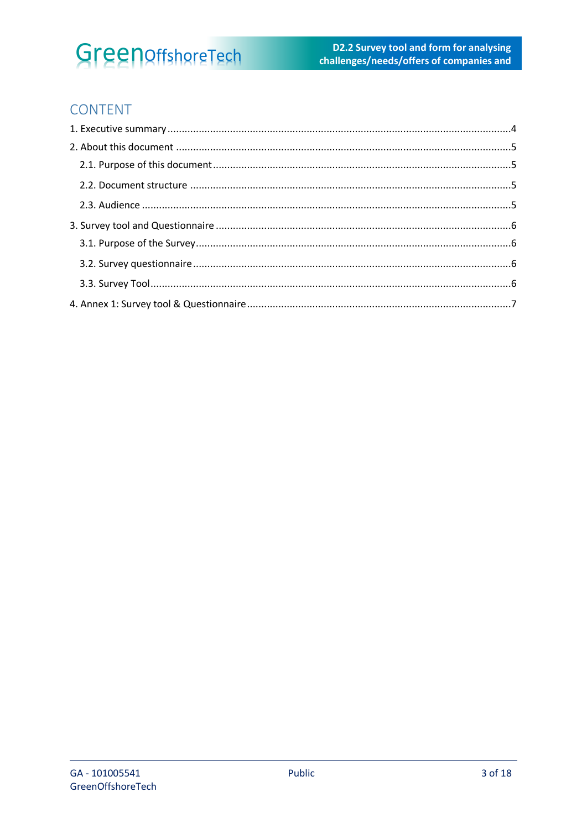# GreenoffshoreTech

### CONTENT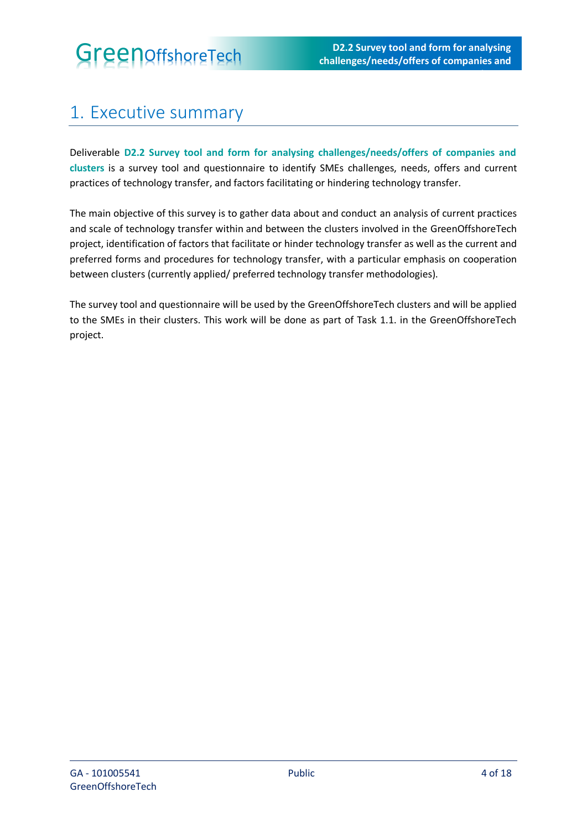# <span id="page-3-0"></span>1. Executive summary

Deliverable **D2.2 Survey tool and form for analysing challenges/needs/offers of companies and clusters** is a survey tool and questionnaire to identify SMEs challenges, needs, offers and current practices of technology transfer, and factors facilitating or hindering technology transfer.

The main objective of this survey is to gather data about and conduct an analysis of current practices and scale of technology transfer within and between the clusters involved in the GreenOffshoreTech project, identification of factors that facilitate or hinder technology transfer as well as the current and preferred forms and procedures for technology transfer, with a particular emphasis on cooperation between clusters (currently applied/ preferred technology transfer methodologies).

The survey tool and questionnaire will be used by the GreenOffshoreTech clusters and will be applied to the SMEs in their clusters. This work will be done as part of Task 1.1. in the GreenOffshoreTech project.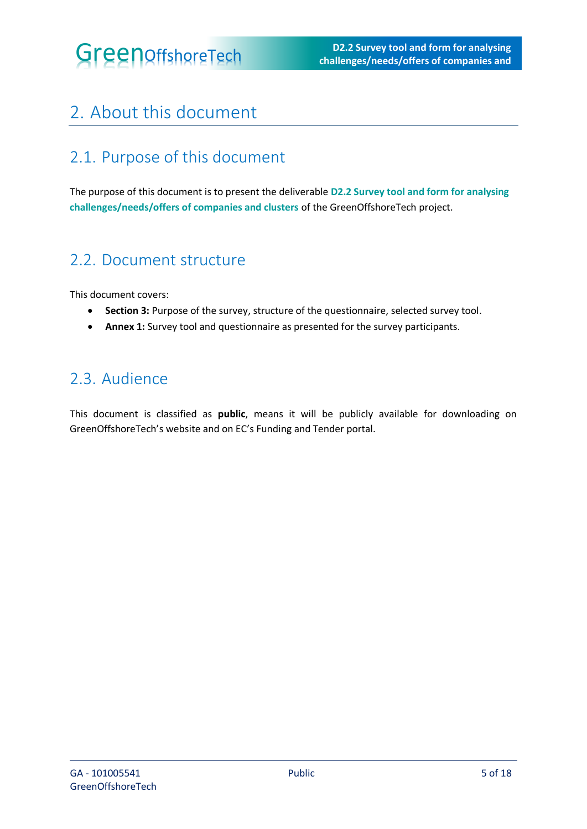# <span id="page-4-0"></span>2. About this document

## <span id="page-4-1"></span>2.1. Purpose of this document

The purpose of this document is to present the deliverable **D2.2 Survey tool and form for analysing challenges/needs/offers of companies and clusters** of the GreenOffshoreTech project.

### <span id="page-4-2"></span>2.2. Document structure

This document covers:

- **Section 3:** Purpose of the survey, structure of the questionnaire, selected survey tool.
- **Annex 1:** Survey tool and questionnaire as presented for the survey participants.

### <span id="page-4-3"></span>2.3. Audience

This document is classified as **public**, means it will be publicly available for downloading on GreenOffshoreTech's website and on EC's Funding and Tender portal.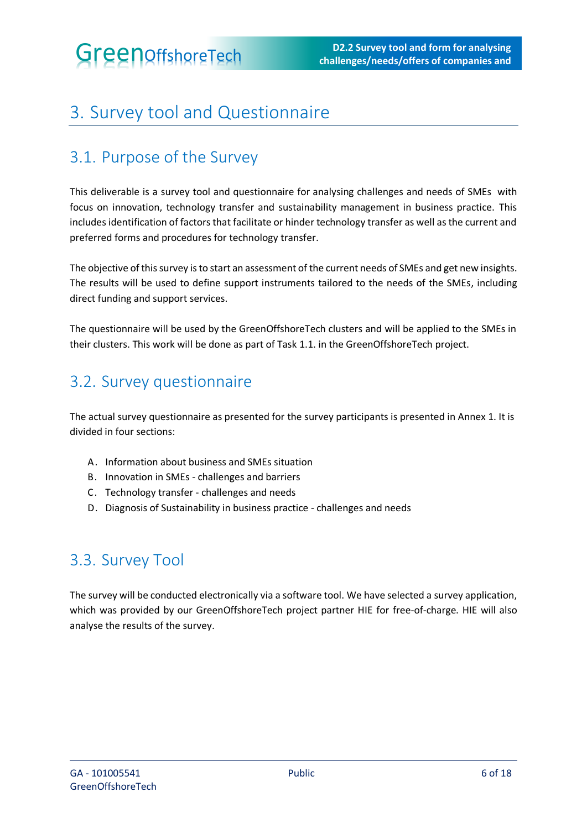# <span id="page-5-0"></span>3. Survey tool and Questionnaire

## <span id="page-5-1"></span>3.1. Purpose of the Survey

This deliverable is a survey tool and questionnaire for analysing challenges and needs of SMEs with focus on innovation, technology transfer and sustainability management in business practice. This includes identification of factors that facilitate or hinder technology transfer as well as the current and preferred forms and procedures for technology transfer.

The objective of this survey is to start an assessment of the current needs of SMEs and get new insights. The results will be used to define support instruments tailored to the needs of the SMEs, including direct funding and support services.

The questionnaire will be used by the GreenOffshoreTech clusters and will be applied to the SMEs in their clusters. This work will be done as part of Task 1.1. in the GreenOffshoreTech project.

## <span id="page-5-2"></span>3.2. Survey questionnaire

The actual survey questionnaire as presented for the survey participants is presented in Annex 1. It is divided in four sections:

- A. Information about business and SMEs situation
- B. Innovation in SMEs challenges and barriers
- C. Technology transfer challenges and needs
- D. Diagnosis of Sustainability in business practice challenges and needs

## <span id="page-5-3"></span>3.3. Survey Tool

The survey will be conducted electronically via a software tool. We have selected a survey application, which was provided by our GreenOffshoreTech project partner HIE for free-of-charge. HIE will also analyse the results of the survey.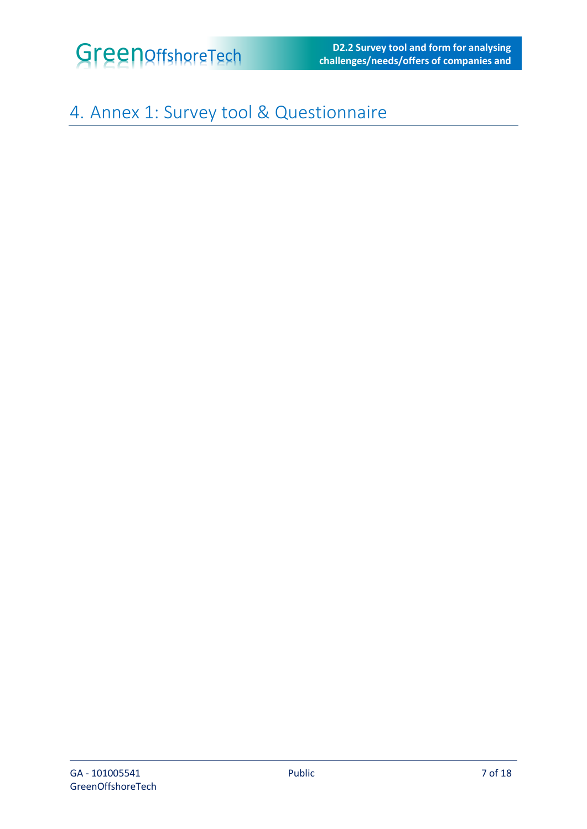

**challenges/needs/offers of companies and** 

**clusters**

# <span id="page-6-0"></span>4. Annex 1: Survey tool & Questionnaire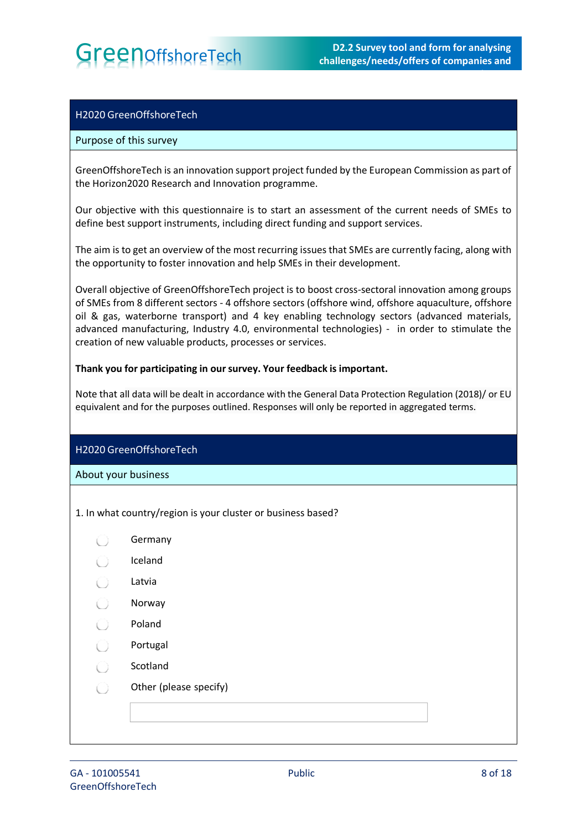**GreenOffshoreTech** D2.2 Survey tool and form for analysing D2.2 Survey tool and form for analysing challenges/needs/offers of companies and **challenges/needs/offers of companies and** 

**clusters**

### H2020 GreenOffshoreTech

### Purpose of this survey

GreenOffshoreTech is an innovation support project funded by the European Commission as part of the Horizon2020 Research and Innovation programme.

Our objective with this questionnaire is to start an assessment of the current needs of SMEs to define best support instruments, including direct funding and support services.

The aim is to get an overview of the most recurring issues that SMEs are currently facing, along with the opportunity to foster innovation and help SMEs in their development.

Overall objective of GreenOffshoreTech project is to boost cross-sectoral innovation among groups of SMEs from 8 different sectors - 4 offshore sectors (offshore wind, offshore aquaculture, offshore oil & gas, waterborne transport) and 4 key enabling technology sectors (advanced materials, advanced manufacturing, Industry 4.0, environmental technologies) - in order to stimulate the creation of new valuable products, processes or services.

### **Thank you for participating in oursurvey. Your feedback is important.**

Note that all data will be dealt in accordance with the General Data Protection Regulation (2018)/ or EU equivalent and for the purposes outlined. Responses will only be reported in aggregated terms.

### H2020 GreenOffshoreTech

About your business

- 1. In what country/region is your cluster or business based?
	- Germany C)
	- Iceland
	- Latvia
	- $\left( \begin{array}{c} \end{array} \right)$ Norway
	- ∩ Poland
	- Portugal  $\left( \begin{array}{c} \end{array} \right)$
	- Scotland  $\left( \begin{array}{c} \end{array} \right)$
	- Other (please specify)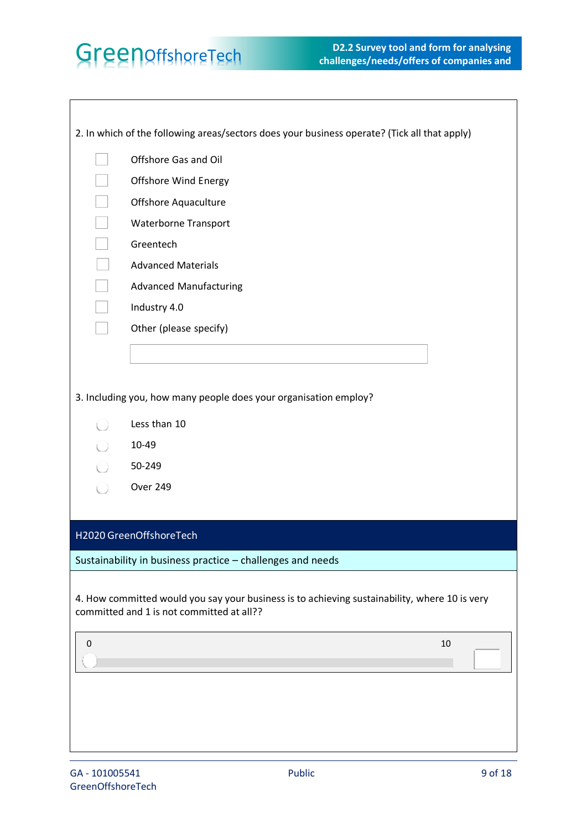|   | 2. In which of the following areas/sectors does your business operate? (Tick all that apply)                                               |
|---|--------------------------------------------------------------------------------------------------------------------------------------------|
|   | Offshore Gas and Oil                                                                                                                       |
|   | Offshore Wind Energy                                                                                                                       |
|   | Offshore Aquaculture                                                                                                                       |
|   | <b>Waterborne Transport</b>                                                                                                                |
|   | Greentech                                                                                                                                  |
|   | <b>Advanced Materials</b>                                                                                                                  |
|   | <b>Advanced Manufacturing</b>                                                                                                              |
|   | Industry 4.0                                                                                                                               |
|   | Other (please specify)                                                                                                                     |
|   |                                                                                                                                            |
|   |                                                                                                                                            |
|   | 3. Including you, how many people does your organisation employ?                                                                           |
|   | Less than 10                                                                                                                               |
|   | 10-49                                                                                                                                      |
|   | 50-249                                                                                                                                     |
|   | Over 249                                                                                                                                   |
|   |                                                                                                                                            |
|   | H2020 GreenOffshoreTech                                                                                                                    |
|   | Sustainability in business practice - challenges and needs                                                                                 |
|   | 4. How committed would you say your business is to achieving sustainability, where 10 is very<br>committed and 1 is not committed at all?? |
| 0 | 10                                                                                                                                         |
|   |                                                                                                                                            |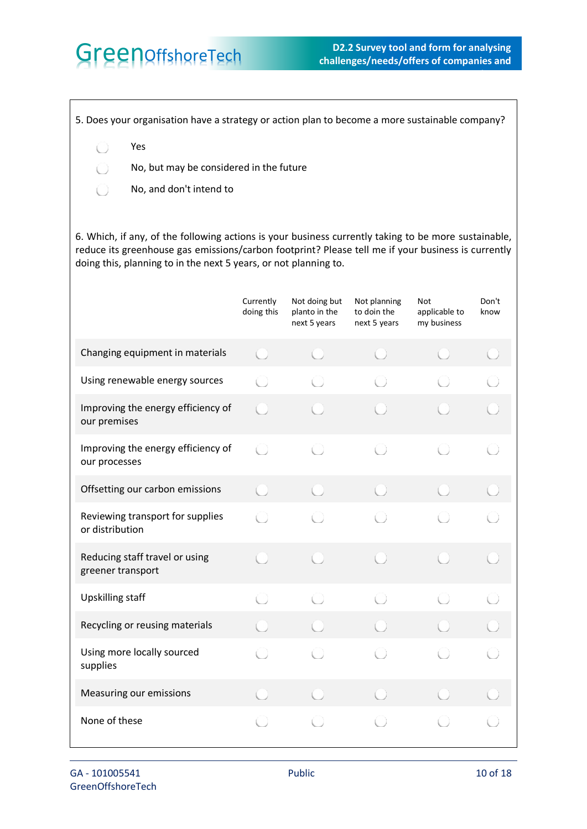5. Does your organisation have a strategy or action plan to become a more sustainable company?

Yes  $\left( \begin{array}{c} \end{array} \right)$ 

 $\left( \quad \right)$ 

- No, but may be considered in the future
- No, and don't intend to  $\bigcirc$

6. Which, if any, of the following actions is your business currently taking to be more sustainable, reduce its greenhouse gas emissions/carbon footprint? Please tell me if your business is currently doing this, planning to in the next 5 years, or not planning to.

|                                                     | Currently<br>doing this                         | Not doing but<br>planto in the<br>next 5 years | Not planning<br>to doin the<br>next 5 years | Not<br>applicable to<br>my business | Don't<br>know |
|-----------------------------------------------------|-------------------------------------------------|------------------------------------------------|---------------------------------------------|-------------------------------------|---------------|
| Changing equipment in materials                     | (                                               |                                                |                                             |                                     |               |
| Using renewable energy sources                      |                                                 | Ú)                                             |                                             |                                     |               |
| Improving the energy efficiency of<br>our premises  |                                                 |                                                |                                             |                                     |               |
| Improving the energy efficiency of<br>our processes | $\left( \begin{array}{c} 1 \end{array} \right)$ |                                                |                                             |                                     |               |
| Offsetting our carbon emissions                     | $(\ )$                                          |                                                |                                             |                                     |               |
| Reviewing transport for supplies<br>or distribution | O                                               | $(\quad)$                                      |                                             |                                     |               |
| Reducing staff travel or using<br>greener transport |                                                 |                                                |                                             |                                     |               |
| <b>Upskilling staff</b>                             | ∩                                               |                                                |                                             |                                     |               |
| Recycling or reusing materials                      |                                                 |                                                |                                             |                                     |               |
| Using more locally sourced<br>supplies              |                                                 |                                                |                                             |                                     |               |
| Measuring our emissions                             |                                                 |                                                |                                             |                                     |               |
| None of these                                       |                                                 |                                                |                                             |                                     |               |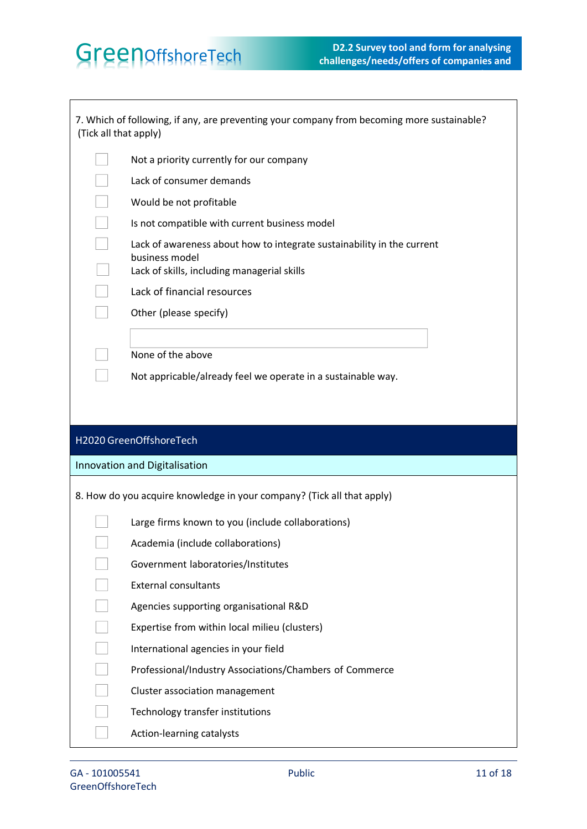| (Tick all that apply) | 7. Which of following, if any, are preventing your company from becoming more sustainable?                                              |
|-----------------------|-----------------------------------------------------------------------------------------------------------------------------------------|
|                       | Not a priority currently for our company                                                                                                |
|                       | Lack of consumer demands                                                                                                                |
|                       | Would be not profitable                                                                                                                 |
|                       | Is not compatible with current business model                                                                                           |
|                       | Lack of awareness about how to integrate sustainability in the current<br>business model<br>Lack of skills, including managerial skills |
|                       | Lack of financial resources                                                                                                             |
|                       | Other (please specify)                                                                                                                  |
|                       |                                                                                                                                         |
|                       | None of the above                                                                                                                       |
|                       | Not appricable/already feel we operate in a sustainable way.                                                                            |
|                       |                                                                                                                                         |
|                       |                                                                                                                                         |
|                       | H2020 GreenOffshoreTech                                                                                                                 |
|                       | Innovation and Digitalisation                                                                                                           |
|                       | 8. How do you acquire knowledge in your company? (Tick all that apply)                                                                  |
|                       | Large firms known to you (include collaborations)                                                                                       |
|                       | Academia (include collaborations)                                                                                                       |
|                       | Government laboratories/Institutes                                                                                                      |
|                       | <b>External consultants</b>                                                                                                             |
|                       | Agencies supporting organisational R&D                                                                                                  |
|                       | Expertise from within local milieu (clusters)                                                                                           |
|                       | International agencies in your field                                                                                                    |
|                       | Professional/Industry Associations/Chambers of Commerce                                                                                 |
|                       | Cluster association management                                                                                                          |
|                       | Technology transfer institutions                                                                                                        |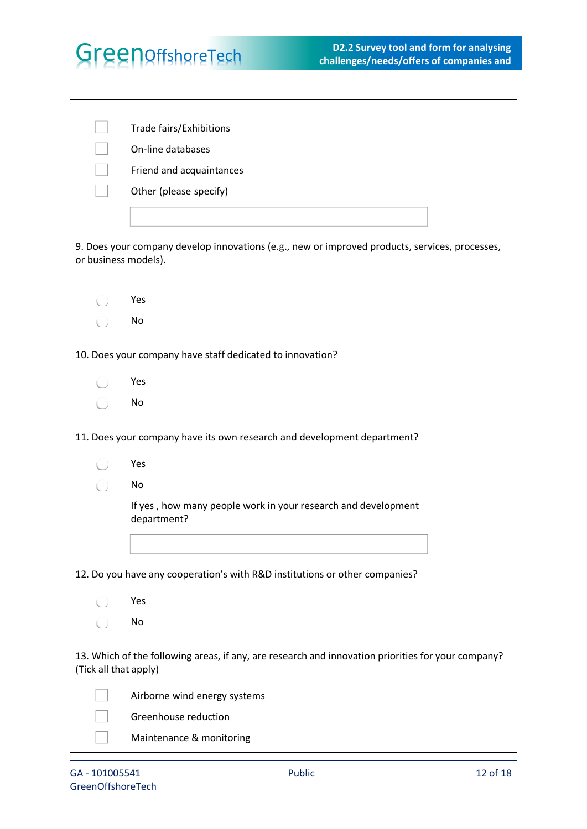|                       | Trade fairs/Exhibitions                                                                            |
|-----------------------|----------------------------------------------------------------------------------------------------|
|                       | On-line databases                                                                                  |
|                       | Friend and acquaintances                                                                           |
|                       | Other (please specify)                                                                             |
|                       |                                                                                                    |
| or business models).  | 9. Does your company develop innovations (e.g., new or improved products, services, processes,     |
|                       | Yes                                                                                                |
|                       | No                                                                                                 |
|                       | 10. Does your company have staff dedicated to innovation?                                          |
|                       | Yes                                                                                                |
|                       | No                                                                                                 |
|                       | 11. Does your company have its own research and development department?                            |
|                       | Yes                                                                                                |
|                       | No                                                                                                 |
|                       | If yes, how many people work in your research and development                                      |
|                       | department?                                                                                        |
|                       |                                                                                                    |
|                       | 12. Do you have any cooperation's with R&D institutions or other companies?                        |
|                       | Yes                                                                                                |
|                       | No                                                                                                 |
| (Tick all that apply) | 13. Which of the following areas, if any, are research and innovation priorities for your company? |
|                       | Airborne wind energy systems                                                                       |
|                       | Greenhouse reduction                                                                               |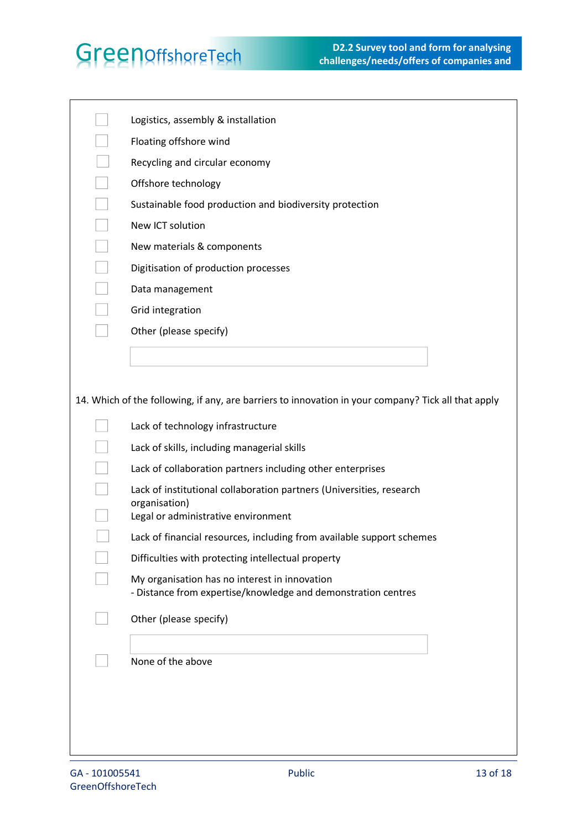| Logistics, assembly & installation                                                                             |
|----------------------------------------------------------------------------------------------------------------|
| Floating offshore wind                                                                                         |
| Recycling and circular economy                                                                                 |
| Offshore technology                                                                                            |
| Sustainable food production and biodiversity protection                                                        |
| New ICT solution                                                                                               |
| New materials & components                                                                                     |
| Digitisation of production processes                                                                           |
| Data management                                                                                                |
| Grid integration                                                                                               |
| Other (please specify)                                                                                         |
|                                                                                                                |
|                                                                                                                |
| 14. Which of the following, if any, are barriers to innovation in your company? Tick all that apply            |
|                                                                                                                |
| Lack of technology infrastructure                                                                              |
| Lack of skills, including managerial skills                                                                    |
| Lack of collaboration partners including other enterprises                                                     |
| Lack of institutional collaboration partners (Universities, research<br>organisation)                          |
| Legal or administrative environment                                                                            |
| Lack of financial resources, including from available support schemes                                          |
| Difficulties with protecting intellectual property                                                             |
| My organisation has no interest in innovation<br>- Distance from expertise/knowledge and demonstration centres |
|                                                                                                                |
| Other (please specify)                                                                                         |
|                                                                                                                |
| None of the above                                                                                              |
|                                                                                                                |
|                                                                                                                |
|                                                                                                                |
|                                                                                                                |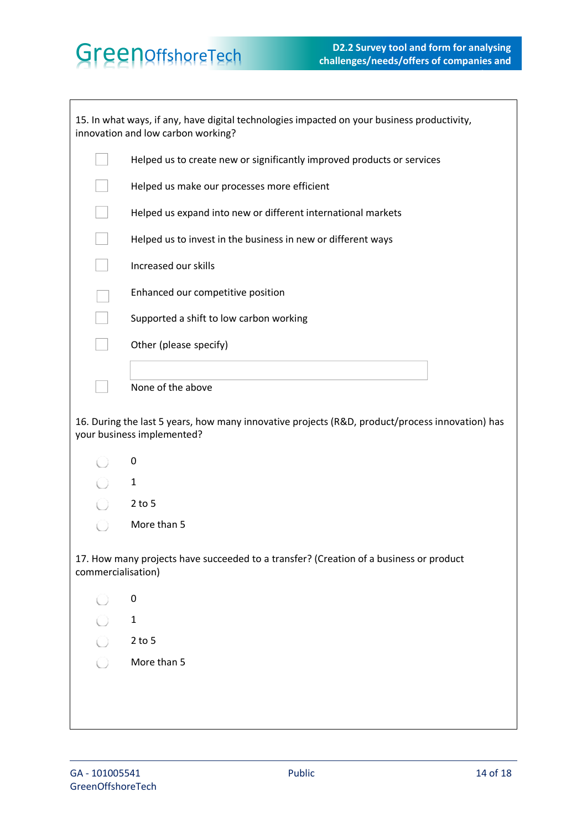|                    | 15. In what ways, if any, have digital technologies impacted on your business productivity,<br>innovation and low carbon working? |
|--------------------|-----------------------------------------------------------------------------------------------------------------------------------|
|                    | Helped us to create new or significantly improved products or services                                                            |
|                    | Helped us make our processes more efficient                                                                                       |
|                    | Helped us expand into new or different international markets                                                                      |
|                    | Helped us to invest in the business in new or different ways                                                                      |
|                    | Increased our skills                                                                                                              |
|                    | Enhanced our competitive position                                                                                                 |
|                    | Supported a shift to low carbon working                                                                                           |
|                    | Other (please specify)                                                                                                            |
|                    |                                                                                                                                   |
|                    | None of the above                                                                                                                 |
|                    | 16. During the last 5 years, how many innovative projects (R&D, product/process innovation) has<br>your business implemented?     |
|                    | 0                                                                                                                                 |
|                    |                                                                                                                                   |
|                    | $\mathbf{1}$                                                                                                                      |
|                    | $2$ to 5                                                                                                                          |
|                    | More than 5                                                                                                                       |
| commercialisation) | 17. How many projects have succeeded to a transfer? (Creation of a business or product                                            |
|                    | 0                                                                                                                                 |
|                    | $\mathbf{1}$                                                                                                                      |
|                    | $2$ to 5                                                                                                                          |
|                    | More than 5                                                                                                                       |
|                    |                                                                                                                                   |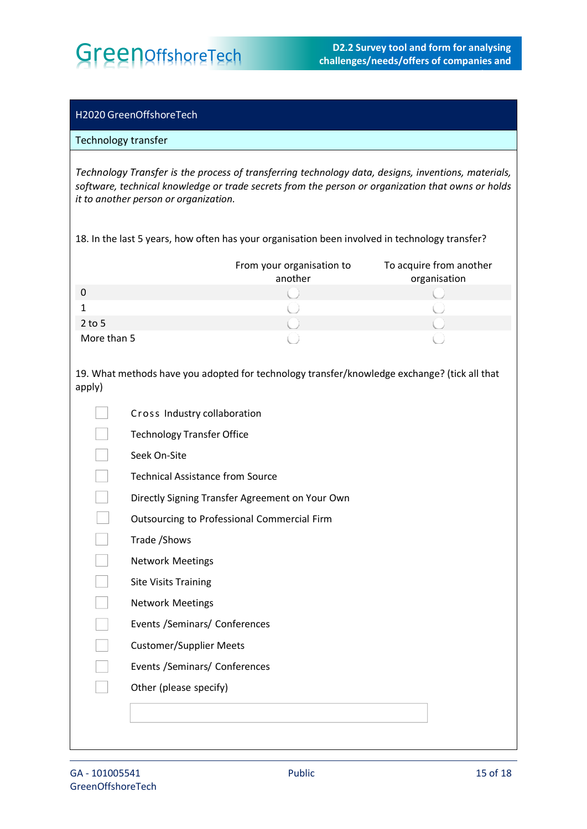**GreenOffshoreTech** D2.2 Survey tool and form for analysing challenges/needs/offers of companies and **challenges/needs/offers of companies and** 

**clusters**

### H2020 GreenOffshoreTech

### Technology transfer

*Technology Transfer is the process of transferring technology data, designs, inventions, materials, software, technical knowledge or trade secrets from the person or organization that owns or holds it to another person or organization.*

18. In the last 5 years, how often has your organisation been involved in technology transfer?

|             | From your organisation to<br>another | To acquire from another<br>organisation |
|-------------|--------------------------------------|-----------------------------------------|
|             |                                      |                                         |
|             |                                      |                                         |
| $2$ to 5    |                                      |                                         |
| More than 5 |                                      |                                         |

19. What methods have you adopted for technology transfer/knowledge exchange? (tick all that apply)

|  | Cross Industry collaboration                    |
|--|-------------------------------------------------|
|  | <b>Technology Transfer Office</b>               |
|  | Seek On-Site                                    |
|  | <b>Technical Assistance from Source</b>         |
|  | Directly Signing Transfer Agreement on Your Own |
|  | Outsourcing to Professional Commercial Firm     |
|  | Trade / Shows                                   |
|  | <b>Network Meetings</b>                         |
|  | <b>Site Visits Training</b>                     |
|  | <b>Network Meetings</b>                         |
|  | Events /Seminars/ Conferences                   |
|  | <b>Customer/Supplier Meets</b>                  |
|  | Events /Seminars/ Conferences                   |
|  | Other (please specify)                          |
|  |                                                 |
|  |                                                 |
|  |                                                 |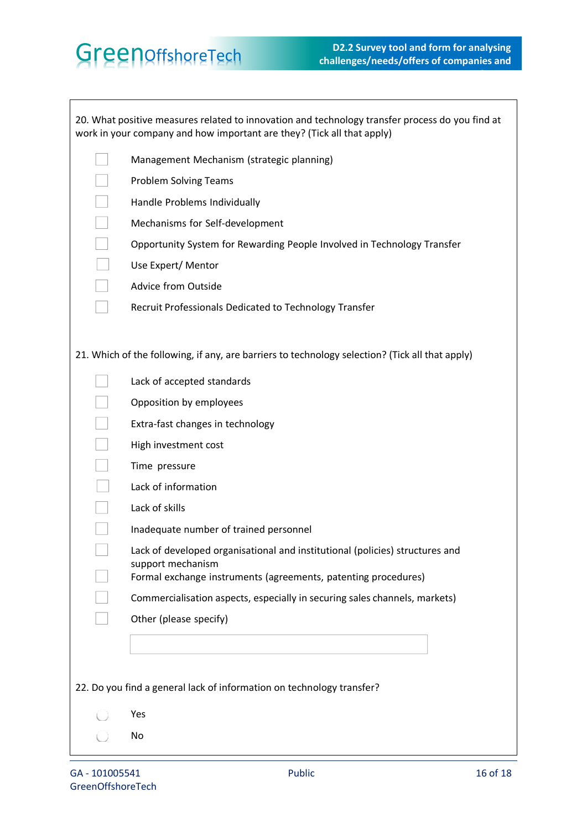|                                                                                                 | 20. What positive measures related to innovation and technology transfer process do you find at<br>work in your company and how important are they? (Tick all that apply) |  |  |  |
|-------------------------------------------------------------------------------------------------|---------------------------------------------------------------------------------------------------------------------------------------------------------------------------|--|--|--|
|                                                                                                 | Management Mechanism (strategic planning)                                                                                                                                 |  |  |  |
|                                                                                                 | <b>Problem Solving Teams</b>                                                                                                                                              |  |  |  |
|                                                                                                 | Handle Problems Individually                                                                                                                                              |  |  |  |
|                                                                                                 | Mechanisms for Self-development                                                                                                                                           |  |  |  |
|                                                                                                 | Opportunity System for Rewarding People Involved in Technology Transfer                                                                                                   |  |  |  |
|                                                                                                 | Use Expert/ Mentor                                                                                                                                                        |  |  |  |
|                                                                                                 | Advice from Outside                                                                                                                                                       |  |  |  |
|                                                                                                 | Recruit Professionals Dedicated to Technology Transfer                                                                                                                    |  |  |  |
|                                                                                                 |                                                                                                                                                                           |  |  |  |
| 21. Which of the following, if any, are barriers to technology selection? (Tick all that apply) |                                                                                                                                                                           |  |  |  |
|                                                                                                 | Lack of accepted standards                                                                                                                                                |  |  |  |
|                                                                                                 | Opposition by employees                                                                                                                                                   |  |  |  |
|                                                                                                 | Extra-fast changes in technology                                                                                                                                          |  |  |  |
|                                                                                                 | High investment cost                                                                                                                                                      |  |  |  |
|                                                                                                 | Time pressure                                                                                                                                                             |  |  |  |
|                                                                                                 | Lack of information                                                                                                                                                       |  |  |  |
|                                                                                                 | Lack of skills                                                                                                                                                            |  |  |  |
|                                                                                                 | Inadequate number of trained personnel                                                                                                                                    |  |  |  |
|                                                                                                 | Lack of developed organisational and institutional (policies) structures and                                                                                              |  |  |  |
|                                                                                                 | support mechanism<br>Formal exchange instruments (agreements, patenting procedures)                                                                                       |  |  |  |
|                                                                                                 | Commercialisation aspects, especially in securing sales channels, markets)                                                                                                |  |  |  |
|                                                                                                 | Other (please specify)                                                                                                                                                    |  |  |  |
|                                                                                                 |                                                                                                                                                                           |  |  |  |
|                                                                                                 |                                                                                                                                                                           |  |  |  |
| 22. Do you find a general lack of information on technology transfer?                           |                                                                                                                                                                           |  |  |  |
|                                                                                                 | Yes                                                                                                                                                                       |  |  |  |
|                                                                                                 | No                                                                                                                                                                        |  |  |  |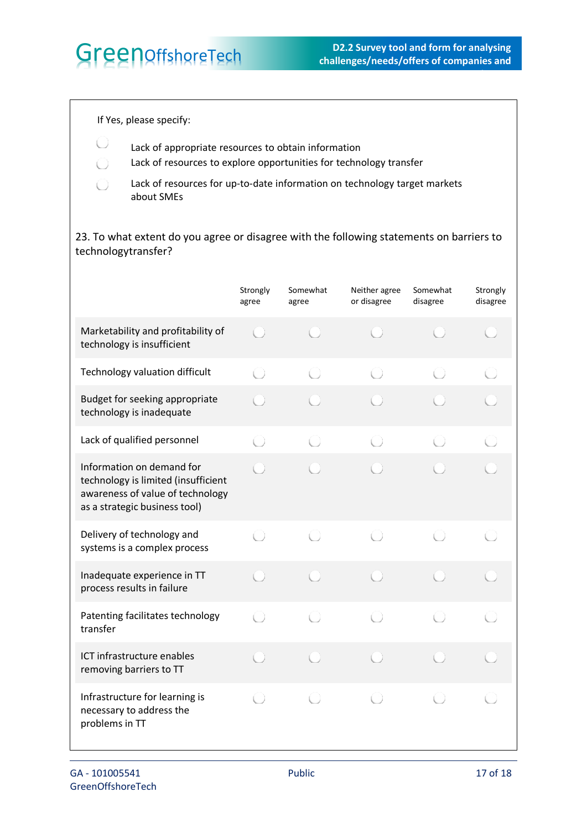If Yes, please specify:

O

 $\bigcirc$ 

U Lack of appropriate resources to obtain information

Lack of resources to explore opportunities for technology transfer

Lack of resources for up-to-date information on technology target markets about SMEs

23. To what extent do you agree or disagree with the following statements on barriers to technologytransfer?

|                                                                                                                                       | Strongly<br>agree                               | Somewhat<br>agree | Neither agree<br>or disagree                    | Somewhat<br>disagree | Strongly<br>disagree |
|---------------------------------------------------------------------------------------------------------------------------------------|-------------------------------------------------|-------------------|-------------------------------------------------|----------------------|----------------------|
| Marketability and profitability of<br>technology is insufficient                                                                      |                                                 |                   |                                                 |                      |                      |
| Technology valuation difficult                                                                                                        | $\left( \begin{array}{c} 1 \end{array} \right)$ | $\bigcirc$        | O                                               | O                    |                      |
| Budget for seeking appropriate<br>technology is inadequate                                                                            |                                                 |                   |                                                 |                      |                      |
| Lack of qualified personnel                                                                                                           | O                                               |                   |                                                 |                      |                      |
| Information on demand for<br>technology is limited (insufficient<br>awareness of value of technology<br>as a strategic business tool) |                                                 |                   |                                                 |                      |                      |
| Delivery of technology and<br>systems is a complex process                                                                            | O                                               | í)                | $\left( \begin{array}{c} 1 \end{array} \right)$ | O                    |                      |
| Inadequate experience in TT<br>process results in failure                                                                             |                                                 |                   |                                                 |                      |                      |
| Patenting facilitates technology<br>transfer                                                                                          | Ú)                                              | O                 | O                                               | O                    |                      |
| ICT infrastructure enables<br>removing barriers to TT                                                                                 |                                                 |                   |                                                 |                      |                      |
| Infrastructure for learning is<br>necessary to address the<br>problems in TT                                                          | O                                               | Ú)                |                                                 |                      |                      |